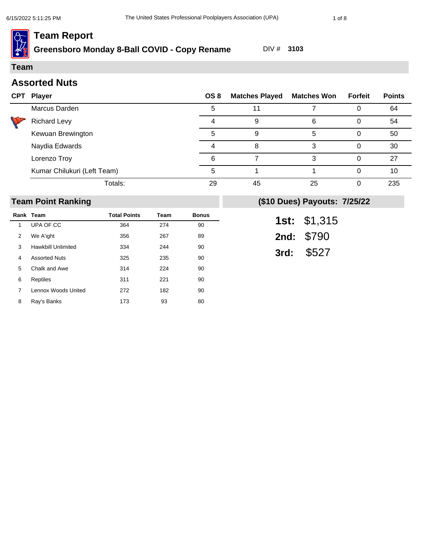# **Greensboro Monday 8-Ball COVID - Copy Rename** DIV # **3103**

**Team**

٦

# **Assorted Nuts**

| CPT | <b>Player</b>               | OS 8 | <b>Matches Played</b> | <b>Matches Won</b> | Forfeit | <b>Points</b> |
|-----|-----------------------------|------|-----------------------|--------------------|---------|---------------|
|     | Marcus Darden               | 5    |                       |                    |         | 64            |
|     | <b>Richard Levy</b>         |      | 9                     | 6                  |         | 54            |
|     | Kewuan Brewington           | 5    | 9                     | 5                  |         | 50            |
|     | Naydia Edwards              |      |                       | 3                  |         | 30            |
|     | Lorenzo Troy                | 6    |                       | 3                  |         | 27            |
|     | Kumar Chilukuri (Left Team) | 5    |                       |                    |         | 10            |
|     | Totals:                     | 29   | 45                    | 25                 |         | 235           |

#### **Team Point Ranking**

|   | Rank Team            | <b>Total Points</b> | Team | <b>Bonus</b> |
|---|----------------------|---------------------|------|--------------|
| 1 | UPA OF CC            | 364                 | 274  | 90           |
| 2 | We A'ight            | 356                 | 267  | 89           |
| 3 | Hawkbill Unlimited   | 334                 | 244  | 90           |
| 4 | <b>Assorted Nuts</b> | 325                 | 235  | 90           |
| 5 | Chalk and Awe        | 314                 | 224  | 90           |
| 6 | Reptiles             | 311                 | 221  | 90           |
| 7 | Lennox Woods United  | 272                 | 182  | 90           |
| 8 | Ray's Banks          | 173                 | 93   | 80           |

| 1st: | \$1,315 |
|------|---------|
| 2nd: | \$790   |
| 3rd: | \$527   |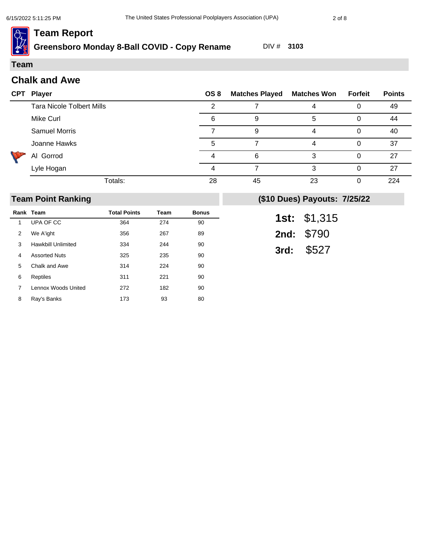**Greensboro Monday 8-Ball COVID - Copy Rename** DIV # **3103**

#### **Team**

| <b>Chalk and Awe</b> |  |  |
|----------------------|--|--|
|----------------------|--|--|

| <b>CPT</b> | <b>Player</b>                    | OS 8 | <b>Matches Played</b> | <b>Matches Won</b> | Forfeit | <b>Points</b> |
|------------|----------------------------------|------|-----------------------|--------------------|---------|---------------|
|            | <b>Tara Nicole Tolbert Mills</b> |      |                       |                    |         | 49            |
|            | Mike Curl                        | 6    |                       | 5                  |         | 44            |
|            | <b>Samuel Morris</b>             |      |                       |                    |         | 40            |
|            | Joanne Hawks                     |      |                       |                    | 0       | 37            |
|            | Al Gorrod                        |      | 6                     | 3                  |         | 27            |
|            | Lyle Hogan                       | 4    |                       | 3                  |         | 27            |
|            | Totals:                          | 28   | 45                    | 23                 |         | 224           |

#### **Team Point Ranking**

|   | Rank Team                 | <b>Total Points</b> | Team | <b>Bonus</b> |
|---|---------------------------|---------------------|------|--------------|
| 1 | UPA OF CC                 | 364                 | 274  | 90           |
| 2 | We A'ight                 | 356                 | 267  | 89           |
| 3 | <b>Hawkbill Unlimited</b> | 334                 | 244  | 90           |
| 4 | <b>Assorted Nuts</b>      | 325                 | 235  | 90           |
| 5 | Chalk and Awe             | 314                 | 224  | 90           |
| 6 | Reptiles                  | 311                 | 221  | 90           |
| 7 | Lennox Woods United       | 272                 | 182  | 90           |
| 8 | Ray's Banks               | 173                 | 93   | 80           |

| 1st: | \$1,315 |
|------|---------|
| 2nd: | \$790   |
| 3rd: | \$527   |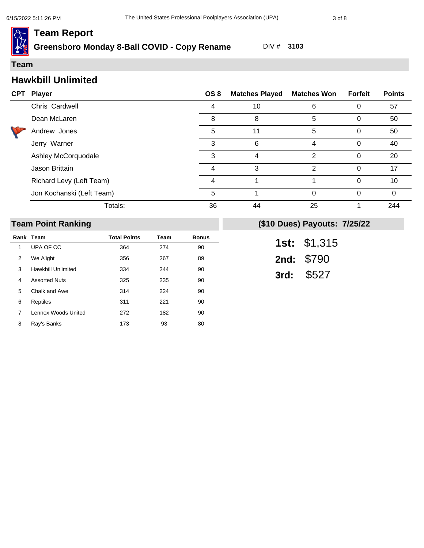**Greensboro Monday 8-Ball COVID - Copy Rename** DIV # **3103**

#### **Team**

# **Hawkbill Unlimited**

| <b>CPT</b> | Player                    | OS 8 | <b>Matches Played</b> | <b>Matches Won</b> | <b>Forfeit</b> | <b>Points</b> |
|------------|---------------------------|------|-----------------------|--------------------|----------------|---------------|
|            | Chris Cardwell            |      | 10                    | 6                  |                | 57            |
|            | Dean McLaren              | 8    | 8                     | 5                  | 0              | 50            |
|            | Andrew Jones              | 5    | 11                    | 5                  | 0              | 50            |
|            | Jerry Warner              | 3    | 6                     | 4                  | 0              | 40            |
|            | Ashley McCorquodale       | 3    |                       | っ                  |                | 20            |
|            | Jason Brittain            |      | 3                     | 2                  |                | 17            |
|            | Richard Levy (Left Team)  |      |                       |                    | 0              | 10            |
|            | Jon Kochanski (Left Team) | 5    |                       | $\Omega$           |                | $\Omega$      |
|            | Totals:                   | 36   | 44                    | 25                 |                | 244           |

#### **Team Point Ranking**

|   | Rank Team            | <b>Total Points</b> | Team | <b>Bonus</b> |
|---|----------------------|---------------------|------|--------------|
| 1 | UPA OF CC            | 364                 | 274  | 90           |
| 2 | We A'ight            | 356                 | 267  | 89           |
| 3 | Hawkbill Unlimited   | 334                 | 244  | 90           |
| 4 | <b>Assorted Nuts</b> | 325                 | 235  | 90           |
| 5 | Chalk and Awe        | 314                 | 224  | 90           |
| 6 | Reptiles             | 311                 | 221  | 90           |
| 7 | Lennox Woods United  | 272                 | 182  | 90           |
| 8 | Ray's Banks          | 173                 | 93   | 80           |

| 1st: | \$1,315 |
|------|---------|
| 2nd: | \$790   |
| 3rd: | \$527   |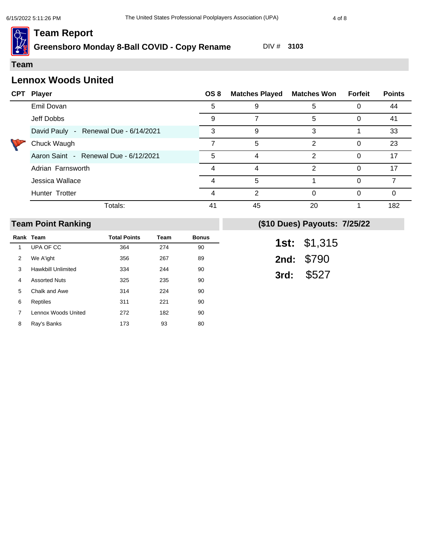**Greensboro Monday 8-Ball COVID - Copy Rename** DIV # **3103**

#### **Team**

## **Lennox Woods United**

|  | <b>CPT Player</b>                     | OS 8 | <b>Matches Played</b> | <b>Matches Won Forfeit</b> |   | <b>Points</b> |
|--|---------------------------------------|------|-----------------------|----------------------------|---|---------------|
|  | Emil Dovan                            | 5    | 9                     | 5                          |   | 44            |
|  | Jeff Dobbs                            | 9    |                       | 5                          | 0 | 41            |
|  | David Pauly - Renewal Due - 6/14/2021 | 3    | 9                     | 3                          |   | 33            |
|  | Chuck Waugh                           |      | 5                     | 2                          | 0 | 23            |
|  | Aaron Saint - Renewal Due - 6/12/2021 | 5    | 4                     | $\overline{2}$             | 0 | 17            |
|  | Adrian Farnsworth                     |      |                       | 2                          | 0 | 17            |
|  | Jessica Wallace                       |      | 5                     |                            |   |               |
|  | Hunter Trotter                        | Δ    | 2                     | 0                          |   | ∩             |
|  | Totals:                               | 41   | 45                    | 20                         |   | 182           |

#### **Team Point Ranking**

|   | Rank Team                 | <b>Total Points</b> | Team | <b>Bonus</b> |
|---|---------------------------|---------------------|------|--------------|
| 1 | UPA OF CC                 | 364                 | 274  | 90           |
| 2 | We A'ight                 | 356                 | 267  | 89           |
| 3 | <b>Hawkbill Unlimited</b> | 334                 | 244  | 90           |
| 4 | <b>Assorted Nuts</b>      | 325                 | 235  | 90           |
| 5 | Chalk and Awe             | 314                 | 224  | 90           |
| 6 | Reptiles                  | 311                 | 221  | 90           |
| 7 | Lennox Woods United       | 272                 | 182  | 90           |
| 8 | Ray's Banks               | 173                 | 93   | 80           |

| 1st: | \$1,315 |
|------|---------|
| 2nd: | \$790   |
| 3rd: | \$527   |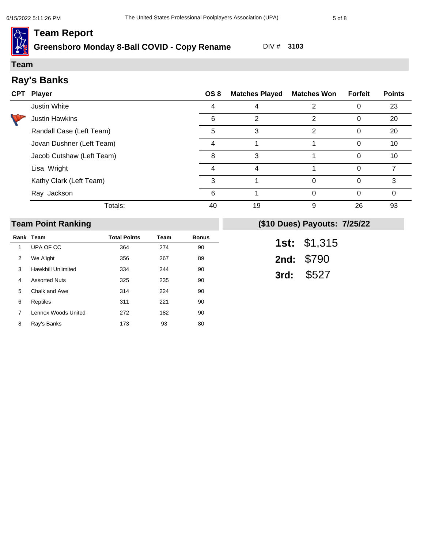# **Greensboro Monday 8-Ball COVID - Copy Rename** DIV # **3103**

#### **Team**

# **Ray's Banks**

| <b>CPT</b> | <b>Player</b>             | OS 8 | <b>Matches Played</b> | <b>Matches Won</b> | <b>Forfeit</b> | <b>Points</b> |
|------------|---------------------------|------|-----------------------|--------------------|----------------|---------------|
|            | Justin White              |      |                       | っ                  |                | 23            |
|            | <b>Justin Hawkins</b>     | 6    | 2                     | 2                  |                | 20            |
|            | Randall Case (Left Team)  | 5    | 3                     | 2                  |                | 20            |
|            | Jovan Dushner (Left Team) | 4    |                       |                    |                | 10            |
|            | Jacob Cutshaw (Left Team) | 8    | 3                     |                    |                | 10            |
|            | Lisa Wright               |      | 4                     |                    |                |               |
|            | Kathy Clark (Left Team)   | З    |                       | $\Omega$           |                | 3             |
|            | Ray Jackson               | 6    |                       | $\Omega$           |                | 0             |
|            | Totals:                   | 40   | 19                    | 9                  | 26             | 93            |

#### **Team Point Ranking**

|   | Rank Team            | <b>Total Points</b> | Team | <b>Bonus</b> |
|---|----------------------|---------------------|------|--------------|
| 1 | UPA OF CC            | 364                 | 274  | 90           |
| 2 | We A'ight            | 356                 | 267  | 89           |
| 3 | Hawkbill Unlimited   | 334                 | 244  | 90           |
| 4 | <b>Assorted Nuts</b> | 325                 | 235  | 90           |
| 5 | Chalk and Awe        | 314                 | 224  | 90           |
| 6 | Reptiles             | 311                 | 221  | 90           |
| 7 | Lennox Woods United  | 272                 | 182  | 90           |
| 8 | Ray's Banks          | 173                 | 93   | 80           |

| 1st: | \$1,315 |
|------|---------|
| 2nd: | \$790   |
| 3rd: | \$527   |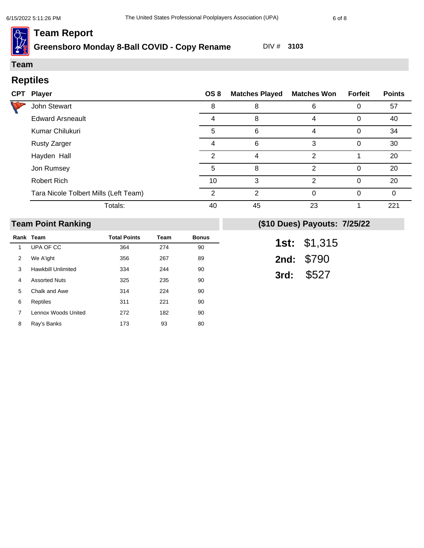# **Greensboro Monday 8-Ball COVID - Copy Rename** DIV # **3103**

## **Team**

# **Reptiles**

| <b>CPT Player</b>                     | OS 8 | <b>Matches Played</b> | <b>Matches Won</b> | Forfeit | <b>Points</b> |
|---------------------------------------|------|-----------------------|--------------------|---------|---------------|
| John Stewart                          | 8    | 8                     | 6                  |         | 57            |
| <b>Edward Arsneault</b>               |      | 8                     | 4                  | 0       | 40            |
| Kumar Chilukuri                       | 5    | 6                     | 4                  | 0       | 34            |
| <b>Rusty Zarger</b>                   | 4    | 6                     | 3                  | 0       | 30            |
| Hayden Hall                           | 2    | 4                     | 2                  |         | 20            |
| Jon Rumsey                            | 5    | 8                     | 2                  | 0       | 20            |
| <b>Robert Rich</b>                    | 10   | 3                     | $\mathcal{P}$      | 0       | 20            |
| Tara Nicole Tolbert Mills (Left Team) | 2    | 2                     | $\Omega$           | 0       | 0             |
| Totals:                               | 40   | 45                    | 23                 |         | 221           |

#### **Team Point Ranking**

|   | Rank Team            | <b>Total Points</b> | <b>Team</b> | <b>Bonus</b> |
|---|----------------------|---------------------|-------------|--------------|
| 1 | UPA OF CC            | 364                 | 274         | 90           |
| 2 | We A'ight            | 356                 | 267         | 89           |
| 3 | Hawkbill Unlimited   | 334                 | 244         | 90           |
| 4 | <b>Assorted Nuts</b> | 325                 | 235         | 90           |
| 5 | Chalk and Awe        | 314                 | 224         | 90           |
| 6 | Reptiles             | 311                 | 221         | 90           |
| 7 | Lennox Woods United  | 272                 | 182         | 90           |
| 8 | Ray's Banks          | 173                 | 93          | 80           |

| 1st: | \$1,315 |
|------|---------|
| 2nd: | \$790   |
| 3rd: | \$527   |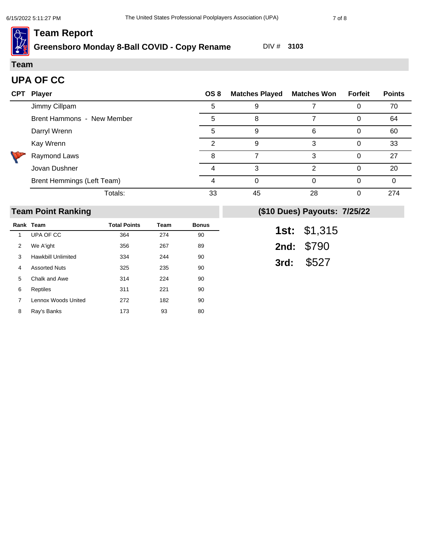# **Greensboro Monday 8-Ball COVID - Copy Rename** DIV # **3103**

#### **Team**

## **UPA OF CC**

| <b>CPT</b> | <b>Player</b>              | OS 8 | <b>Matches Played</b> | <b>Matches Won</b> | Forfeit | <b>Points</b> |
|------------|----------------------------|------|-----------------------|--------------------|---------|---------------|
|            | Jimmy Cillpam              | 5    | 9                     |                    |         | 70            |
|            | Brent Hammons - New Member | 5    | 8                     |                    |         | 64            |
|            | Darryl Wrenn               | 5    | 9                     | 6                  |         | 60            |
|            | Kay Wrenn                  | っ    | 9                     | 3                  |         | 33            |
|            | Raymond Laws               | 8    |                       | 3                  |         | 27            |
|            | Jovan Dushner              |      | 3                     | $\mathcal{P}$      | 0       | 20            |
|            | Brent Hemmings (Left Team) | 4    | 0                     | 0                  |         | 0             |
|            | Totals:                    | 33   | 45                    | 28                 | 0       | 274           |

## **Team Point Ranking**

|   | Rank Team                 | <b>Total Points</b> | Team | <b>Bonus</b> |
|---|---------------------------|---------------------|------|--------------|
| 1 | UPA OF CC                 | 364                 | 274  | 90           |
| 2 | We A'ight                 | 356                 | 267  | 89           |
| 3 | <b>Hawkbill Unlimited</b> | 334                 | 244  | 90           |
| 4 | <b>Assorted Nuts</b>      | 325                 | 235  | 90           |
| 5 | Chalk and Awe             | 314                 | 224  | 90           |
| 6 | Reptiles                  | 311                 | 221  | 90           |
| 7 | Lennox Woods United       | 272                 | 182  | 90           |
| 8 | Ray's Banks               | 173                 | 93   | 80           |

| 1st: | \$1,315 |
|------|---------|
| 2nd: | \$790   |
| 3rd: | \$527   |